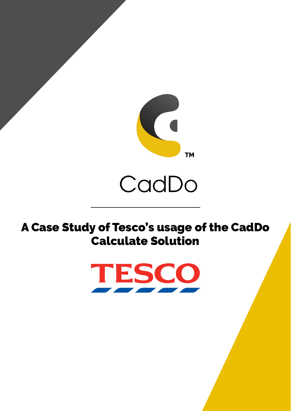

A Case Study of Tesco's usage of the CadDo Calculate Solution